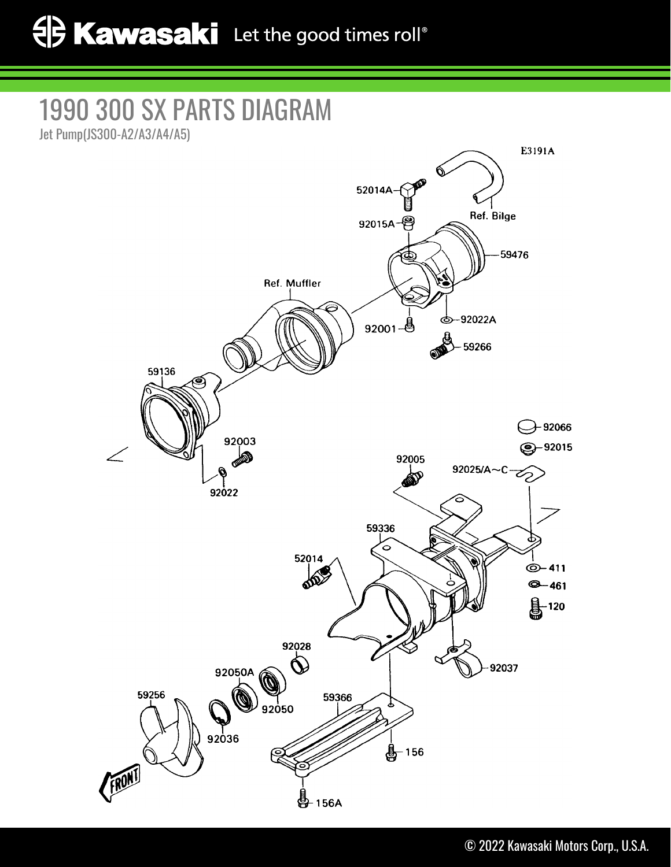## 1990 300 SX PARTS DIAGRAM

Jet Pump(JS300-A2/A3/A4/A5)

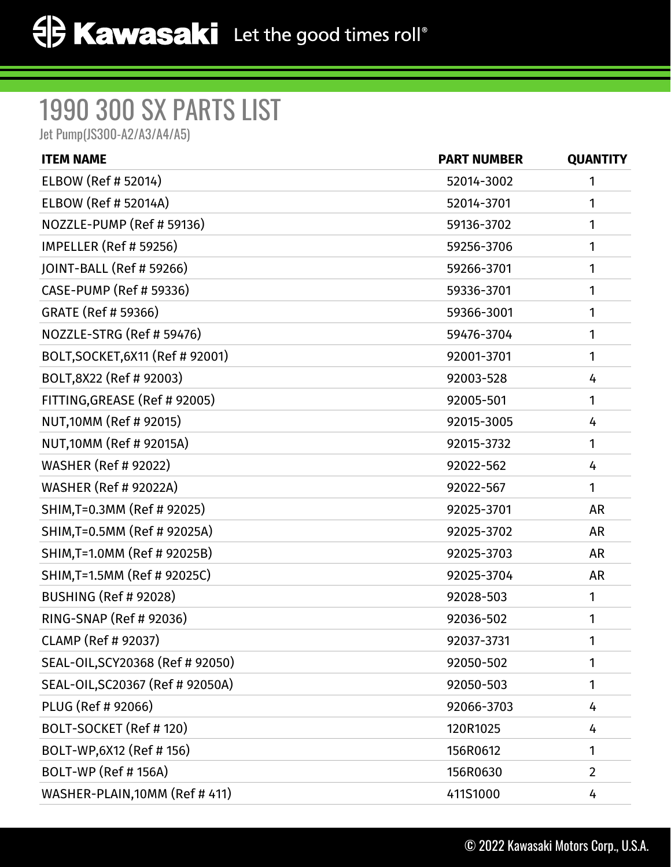## 1990 300 SX PARTS LIST

Jet Pump(JS300-A2/A3/A4/A5)

| <b>ITEM NAME</b>                  | <b>PART NUMBER</b> | <b>QUANTITY</b> |
|-----------------------------------|--------------------|-----------------|
| ELBOW (Ref # 52014)               | 52014-3002         | 1               |
| <b>ELBOW (Ref # 52014A)</b>       | 52014-3701         | 1               |
| NOZZLE-PUMP (Ref # 59136)         | 59136-3702         | 1               |
| IMPELLER (Ref # 59256)            | 59256-3706         | 1               |
| JOINT-BALL (Ref # 59266)          | 59266-3701         | 1               |
| <b>CASE-PUMP (Ref # 59336)</b>    | 59336-3701         | 1               |
| <b>GRATE (Ref # 59366)</b>        | 59366-3001         | 1               |
| NOZZLE-STRG (Ref # 59476)         | 59476-3704         | 1               |
| BOLT, SOCKET, 6X11 (Ref # 92001)  | 92001-3701         | 1               |
| BOLT,8X22 (Ref # 92003)           | 92003-528          | 4               |
| FITTING, GREASE (Ref # 92005)     | 92005-501          | 1               |
| NUT, 10MM (Ref # 92015)           | 92015-3005         | 4               |
| NUT,10MM (Ref # 92015A)           | 92015-3732         | 1               |
| <b>WASHER (Ref # 92022)</b>       | 92022-562          | 4               |
| <b>WASHER (Ref # 92022A)</b>      | 92022-567          | 1               |
| SHIM, T=0.3MM (Ref # 92025)       | 92025-3701         | <b>AR</b>       |
| SHIM, T=0.5MM (Ref # 92025A)      | 92025-3702         | <b>AR</b>       |
| SHIM, T=1.0MM (Ref # 92025B)      | 92025-3703         | AR              |
| SHIM, T=1.5MM (Ref # 92025C)      | 92025-3704         | <b>AR</b>       |
| <b>BUSHING (Ref # 92028)</b>      | 92028-503          | 1               |
| RING-SNAP (Ref # 92036)           | 92036-502          | 1               |
| CLAMP (Ref # 92037)               | 92037-3731         | 1               |
| SEAL-OIL, SCY 20368 (Ref # 92050) | 92050-502          | 1               |
| SEAL-OIL, SC20367 (Ref # 92050A)  | 92050-503          | 1               |
| PLUG (Ref # 92066)                | 92066-3703         | 4               |
| BOLT-SOCKET (Ref # 120)           | 120R1025           | 4               |
| BOLT-WP, 6X12 (Ref # 156)         | 156R0612           | 1               |
| <b>BOLT-WP (Ref #156A)</b>        | 156R0630           | $\overline{2}$  |
| WASHER-PLAIN, 10MM (Ref # 411)    | 411S1000           | 4               |